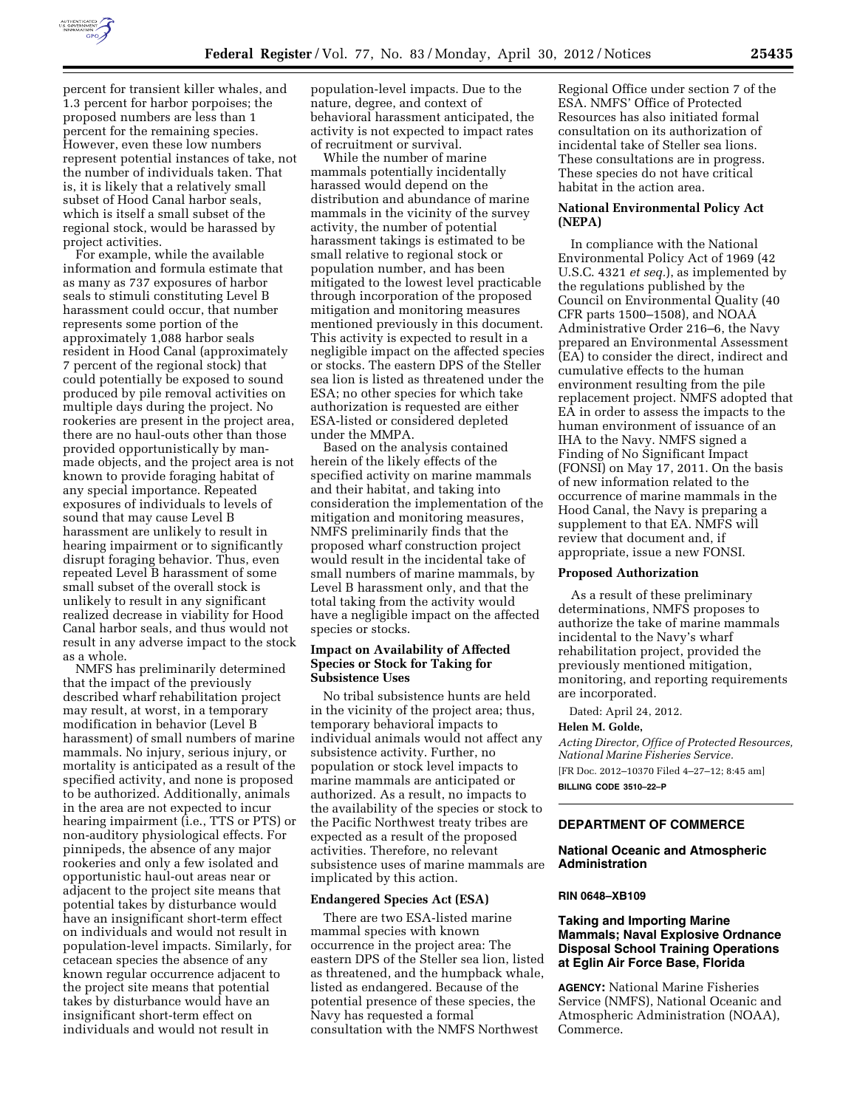

percent for transient killer whales, and 1.3 percent for harbor porpoises; the proposed numbers are less than 1 percent for the remaining species. However, even these low numbers represent potential instances of take, not the number of individuals taken. That is, it is likely that a relatively small subset of Hood Canal harbor seals, which is itself a small subset of the regional stock, would be harassed by project activities.

For example, while the available information and formula estimate that as many as 737 exposures of harbor seals to stimuli constituting Level B harassment could occur, that number represents some portion of the approximately 1,088 harbor seals resident in Hood Canal (approximately 7 percent of the regional stock) that could potentially be exposed to sound produced by pile removal activities on multiple days during the project. No rookeries are present in the project area, there are no haul-outs other than those provided opportunistically by manmade objects, and the project area is not known to provide foraging habitat of any special importance. Repeated exposures of individuals to levels of sound that may cause Level B harassment are unlikely to result in hearing impairment or to significantly disrupt foraging behavior. Thus, even repeated Level B harassment of some small subset of the overall stock is unlikely to result in any significant realized decrease in viability for Hood Canal harbor seals, and thus would not result in any adverse impact to the stock as a whole.

NMFS has preliminarily determined that the impact of the previously described wharf rehabilitation project may result, at worst, in a temporary modification in behavior (Level B harassment) of small numbers of marine mammals. No injury, serious injury, or mortality is anticipated as a result of the specified activity, and none is proposed to be authorized. Additionally, animals in the area are not expected to incur hearing impairment (i.e., TTS or PTS) or non-auditory physiological effects. For pinnipeds, the absence of any major rookeries and only a few isolated and opportunistic haul-out areas near or adjacent to the project site means that potential takes by disturbance would have an insignificant short-term effect on individuals and would not result in population-level impacts. Similarly, for cetacean species the absence of any known regular occurrence adjacent to the project site means that potential takes by disturbance would have an insignificant short-term effect on individuals and would not result in

population-level impacts. Due to the nature, degree, and context of behavioral harassment anticipated, the activity is not expected to impact rates of recruitment or survival.

While the number of marine mammals potentially incidentally harassed would depend on the distribution and abundance of marine mammals in the vicinity of the survey activity, the number of potential harassment takings is estimated to be small relative to regional stock or population number, and has been mitigated to the lowest level practicable through incorporation of the proposed mitigation and monitoring measures mentioned previously in this document. This activity is expected to result in a negligible impact on the affected species or stocks. The eastern DPS of the Steller sea lion is listed as threatened under the ESA; no other species for which take authorization is requested are either ESA-listed or considered depleted under the MMPA.

Based on the analysis contained herein of the likely effects of the specified activity on marine mammals and their habitat, and taking into consideration the implementation of the mitigation and monitoring measures, NMFS preliminarily finds that the proposed wharf construction project would result in the incidental take of small numbers of marine mammals, by Level B harassment only, and that the total taking from the activity would have a negligible impact on the affected species or stocks.

## **Impact on Availability of Affected Species or Stock for Taking for Subsistence Uses**

No tribal subsistence hunts are held in the vicinity of the project area; thus, temporary behavioral impacts to individual animals would not affect any subsistence activity. Further, no population or stock level impacts to marine mammals are anticipated or authorized. As a result, no impacts to the availability of the species or stock to the Pacific Northwest treaty tribes are expected as a result of the proposed activities. Therefore, no relevant subsistence uses of marine mammals are implicated by this action.

## **Endangered Species Act (ESA)**

There are two ESA-listed marine mammal species with known occurrence in the project area: The eastern DPS of the Steller sea lion, listed as threatened, and the humpback whale, listed as endangered. Because of the potential presence of these species, the Navy has requested a formal consultation with the NMFS Northwest

Regional Office under section 7 of the ESA. NMFS' Office of Protected Resources has also initiated formal consultation on its authorization of incidental take of Steller sea lions. These consultations are in progress. These species do not have critical habitat in the action area.

#### **National Environmental Policy Act (NEPA)**

In compliance with the National Environmental Policy Act of 1969 (42 U.S.C. 4321 *et seq.*), as implemented by the regulations published by the Council on Environmental Quality (40 CFR parts 1500–1508), and NOAA Administrative Order 216–6, the Navy prepared an Environmental Assessment (EA) to consider the direct, indirect and cumulative effects to the human environment resulting from the pile replacement project. NMFS adopted that EA in order to assess the impacts to the human environment of issuance of an IHA to the Navy. NMFS signed a Finding of No Significant Impact (FONSI) on May 17, 2011. On the basis of new information related to the occurrence of marine mammals in the Hood Canal, the Navy is preparing a supplement to that EA. NMFS will review that document and, if appropriate, issue a new FONSI.

#### **Proposed Authorization**

As a result of these preliminary determinations, NMFS proposes to authorize the take of marine mammals incidental to the Navy's wharf rehabilitation project, provided the previously mentioned mitigation, monitoring, and reporting requirements are incorporated.

Dated: April 24, 2012.

#### **Helen M. Golde,**

*Acting Director, Office of Protected Resources, National Marine Fisheries Service.*  [FR Doc. 2012–10370 Filed 4–27–12; 8:45 am] **BILLING CODE 3510–22–P** 

# **DEPARTMENT OF COMMERCE**

## **National Oceanic and Atmospheric Administration**

#### **RIN 0648–XB109**

# **Taking and Importing Marine Mammals; Naval Explosive Ordnance Disposal School Training Operations at Eglin Air Force Base, Florida**

**AGENCY:** National Marine Fisheries Service (NMFS), National Oceanic and Atmospheric Administration (NOAA), Commerce.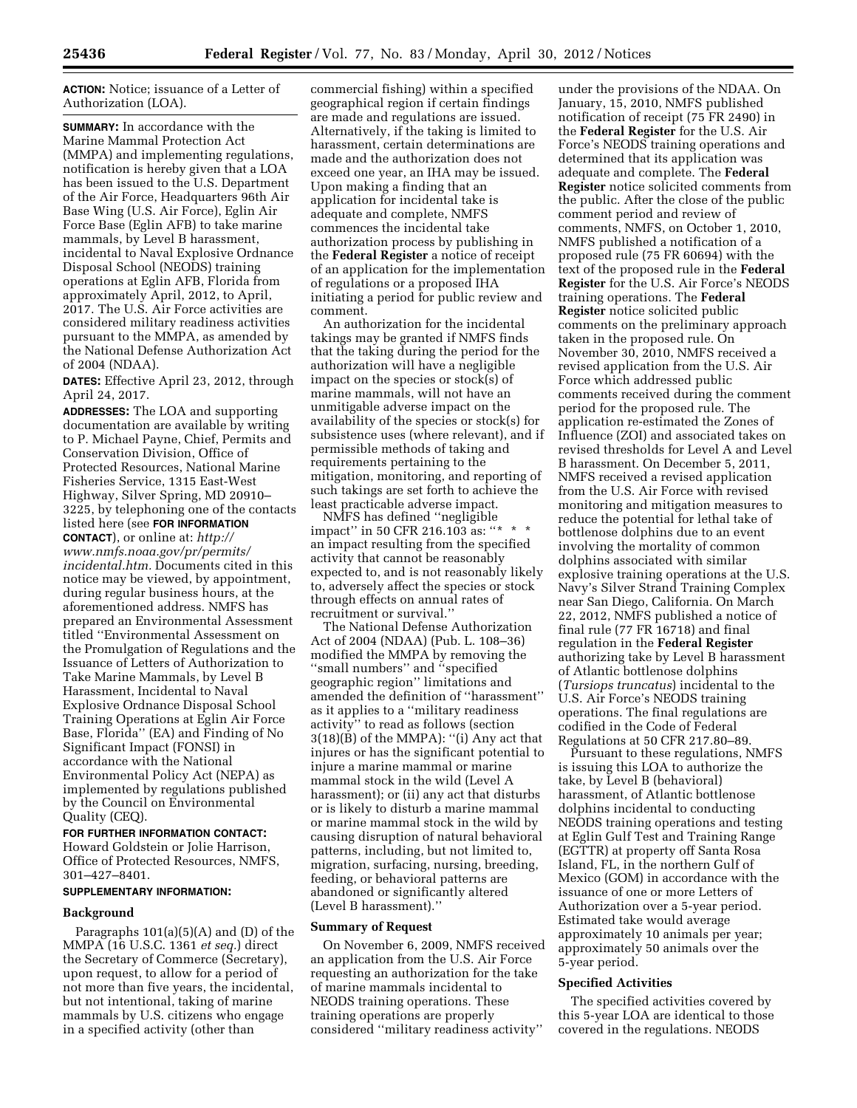**ACTION:** Notice; issuance of a Letter of Authorization (LOA).

**SUMMARY:** In accordance with the Marine Mammal Protection Act (MMPA) and implementing regulations, notification is hereby given that a LOA has been issued to the U.S. Department of the Air Force, Headquarters 96th Air Base Wing (U.S. Air Force), Eglin Air Force Base (Eglin AFB) to take marine mammals, by Level B harassment, incidental to Naval Explosive Ordnance Disposal School (NEODS) training operations at Eglin AFB, Florida from approximately April, 2012, to April, 2017. The U.S. Air Force activities are considered military readiness activities pursuant to the MMPA, as amended by the National Defense Authorization Act of 2004 (NDAA).

**DATES:** Effective April 23, 2012, through April 24, 2017.

**ADDRESSES:** The LOA and supporting documentation are available by writing to P. Michael Payne, Chief, Permits and Conservation Division, Office of Protected Resources, National Marine Fisheries Service, 1315 East-West Highway, Silver Spring, MD 20910– 3225, by telephoning one of the contacts listed here (see **FOR INFORMATION CONTACT**), or online at: *[http://](http://www.nmfs.noaa.gov/pr/permits/incidental.htm)* 

*[www.nmfs.noaa.gov/pr/permits/](http://www.nmfs.noaa.gov/pr/permits/incidental.htm) [incidental.htm.](http://www.nmfs.noaa.gov/pr/permits/incidental.htm)* Documents cited in this notice may be viewed, by appointment, during regular business hours, at the aforementioned address. NMFS has prepared an Environmental Assessment titled ''Environmental Assessment on the Promulgation of Regulations and the Issuance of Letters of Authorization to Take Marine Mammals, by Level B Harassment, Incidental to Naval Explosive Ordnance Disposal School Training Operations at Eglin Air Force Base, Florida'' (EA) and Finding of No Significant Impact (FONSI) in accordance with the National Environmental Policy Act (NEPA) as implemented by regulations published by the Council on Environmental Quality (CEQ).

**FOR FURTHER INFORMATION CONTACT:**  Howard Goldstein or Jolie Harrison, Office of Protected Resources, NMFS, 301–427–8401.

# **SUPPLEMENTARY INFORMATION:**

## **Background**

Paragraphs 101(a)(5)(A) and (D) of the MMPA (16 U.S.C. 1361 *et seq.*) direct the Secretary of Commerce (Secretary), upon request, to allow for a period of not more than five years, the incidental, but not intentional, taking of marine mammals by U.S. citizens who engage in a specified activity (other than

commercial fishing) within a specified geographical region if certain findings are made and regulations are issued. Alternatively, if the taking is limited to harassment, certain determinations are made and the authorization does not exceed one year, an IHA may be issued. Upon making a finding that an application for incidental take is adequate and complete, NMFS commences the incidental take authorization process by publishing in the **Federal Register** a notice of receipt of an application for the implementation of regulations or a proposed IHA initiating a period for public review and comment.

An authorization for the incidental takings may be granted if NMFS finds that the taking during the period for the authorization will have a negligible impact on the species or stock(s) of marine mammals, will not have an unmitigable adverse impact on the availability of the species or stock(s) for subsistence uses (where relevant), and if permissible methods of taking and requirements pertaining to the mitigation, monitoring, and reporting of such takings are set forth to achieve the least practicable adverse impact.

NMFS has defined ''negligible impact" in 50 CFR 216.103 as: "\* an impact resulting from the specified activity that cannot be reasonably expected to, and is not reasonably likely to, adversely affect the species or stock through effects on annual rates of recruitment or survival.''

The National Defense Authorization Act of 2004 (NDAA) (Pub. L. 108–36) modified the MMPA by removing the ''small numbers'' and ''specified geographic region'' limitations and amended the definition of ''harassment'' as it applies to a ''military readiness activity'' to read as follows (section  $3(18)(\check{B})$  of the MMPA): "(i) Any act that injures or has the significant potential to injure a marine mammal or marine mammal stock in the wild (Level A harassment); or (ii) any act that disturbs or is likely to disturb a marine mammal or marine mammal stock in the wild by causing disruption of natural behavioral patterns, including, but not limited to, migration, surfacing, nursing, breeding, feeding, or behavioral patterns are abandoned or significantly altered (Level B harassment).''

# **Summary of Request**

On November 6, 2009, NMFS received an application from the U.S. Air Force requesting an authorization for the take of marine mammals incidental to NEODS training operations. These training operations are properly considered ''military readiness activity''

under the provisions of the NDAA. On January, 15, 2010, NMFS published notification of receipt (75 FR 2490) in the **Federal Register** for the U.S. Air Force's NEODS training operations and determined that its application was adequate and complete. The **Federal Register** notice solicited comments from the public. After the close of the public comment period and review of comments, NMFS, on October 1, 2010, NMFS published a notification of a proposed rule (75 FR 60694) with the text of the proposed rule in the **Federal Register** for the U.S. Air Force's NEODS training operations. The **Federal Register** notice solicited public comments on the preliminary approach taken in the proposed rule. On November 30, 2010, NMFS received a revised application from the U.S. Air Force which addressed public comments received during the comment period for the proposed rule. The application re-estimated the Zones of Influence (ZOI) and associated takes on revised thresholds for Level A and Level B harassment. On December 5, 2011, NMFS received a revised application from the U.S. Air Force with revised monitoring and mitigation measures to reduce the potential for lethal take of bottlenose dolphins due to an event involving the mortality of common dolphins associated with similar explosive training operations at the U.S. Navy's Silver Strand Training Complex near San Diego, California. On March 22, 2012, NMFS published a notice of final rule (77 FR 16718) and final regulation in the **Federal Register**  authorizing take by Level B harassment of Atlantic bottlenose dolphins (*Tursiops truncatus*) incidental to the U.S. Air Force's NEODS training operations. The final regulations are codified in the Code of Federal Regulations at 50 CFR 217.80–89.

Pursuant to these regulations, NMFS is issuing this LOA to authorize the take, by Level B (behavioral) harassment, of Atlantic bottlenose dolphins incidental to conducting NEODS training operations and testing at Eglin Gulf Test and Training Range (EGTTR) at property off Santa Rosa Island, FL, in the northern Gulf of Mexico (GOM) in accordance with the issuance of one or more Letters of Authorization over a 5-year period. Estimated take would average approximately 10 animals per year; approximately 50 animals over the 5-year period.

## **Specified Activities**

The specified activities covered by this 5-year LOA are identical to those covered in the regulations. NEODS